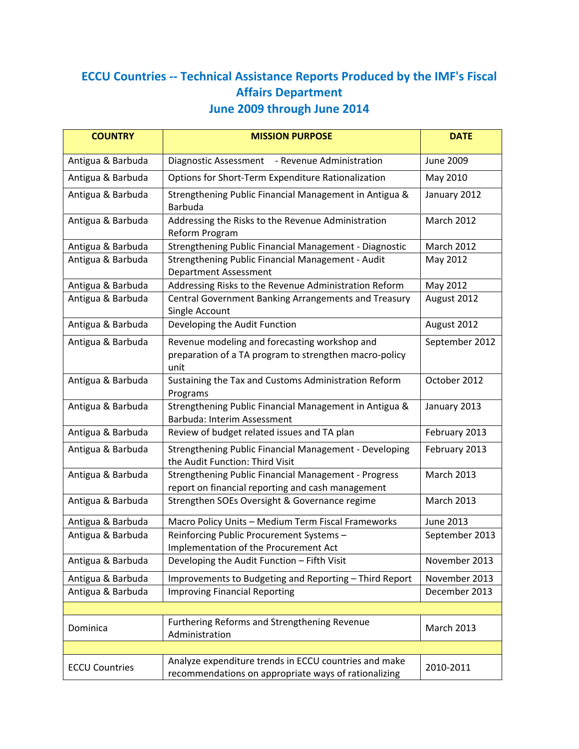## **ECCU Countries -- Technical Assistance Reports Produced by the IMF's Fiscal Affairs Department June 2009 through June 2014**

| <b>COUNTRY</b>        | <b>MISSION PURPOSE</b>                                                                                           | <b>DATE</b>       |
|-----------------------|------------------------------------------------------------------------------------------------------------------|-------------------|
| Antigua & Barbuda     | Diagnostic Assessment<br>- Revenue Administration                                                                | <b>June 2009</b>  |
| Antigua & Barbuda     | Options for Short-Term Expenditure Rationalization                                                               | May 2010          |
| Antigua & Barbuda     | Strengthening Public Financial Management in Antigua &<br>Barbuda                                                | January 2012      |
| Antigua & Barbuda     | Addressing the Risks to the Revenue Administration<br>Reform Program                                             | March 2012        |
| Antigua & Barbuda     | Strengthening Public Financial Management - Diagnostic                                                           | <b>March 2012</b> |
| Antigua & Barbuda     | Strengthening Public Financial Management - Audit<br><b>Department Assessment</b>                                | May 2012          |
| Antigua & Barbuda     | Addressing Risks to the Revenue Administration Reform                                                            | May 2012          |
| Antigua & Barbuda     | Central Government Banking Arrangements and Treasury<br>Single Account                                           | August 2012       |
| Antigua & Barbuda     | Developing the Audit Function                                                                                    | August 2012       |
| Antigua & Barbuda     | Revenue modeling and forecasting workshop and<br>preparation of a TA program to strengthen macro-policy<br>unit  | September 2012    |
| Antigua & Barbuda     | Sustaining the Tax and Customs Administration Reform<br>Programs                                                 | October 2012      |
| Antigua & Barbuda     | Strengthening Public Financial Management in Antigua &<br>Barbuda: Interim Assessment                            | January 2013      |
| Antigua & Barbuda     | Review of budget related issues and TA plan                                                                      | February 2013     |
| Antigua & Barbuda     | Strengthening Public Financial Management - Developing<br>the Audit Function: Third Visit                        | February 2013     |
| Antigua & Barbuda     | <b>Strengthening Public Financial Management - Progress</b><br>report on financial reporting and cash management | March 2013        |
| Antigua & Barbuda     | Strengthen SOEs Oversight & Governance regime                                                                    | <b>March 2013</b> |
| Antigua & Barbuda     | Macro Policy Units - Medium Term Fiscal Frameworks                                                               | <b>June 2013</b>  |
| Antigua & Barbuda     | Reinforcing Public Procurement Systems-<br>Implementation of the Procurement Act                                 | September 2013    |
| Antigua & Barbuda     | Developing the Audit Function - Fifth Visit                                                                      | November 2013     |
| Antigua & Barbuda     | Improvements to Budgeting and Reporting - Third Report                                                           | November 2013     |
| Antigua & Barbuda     | <b>Improving Financial Reporting</b>                                                                             | December 2013     |
|                       |                                                                                                                  |                   |
| Dominica              | Furthering Reforms and Strengthening Revenue<br>Administration                                                   | March 2013        |
|                       |                                                                                                                  |                   |
| <b>ECCU Countries</b> | Analyze expenditure trends in ECCU countries and make<br>recommendations on appropriate ways of rationalizing    | 2010-2011         |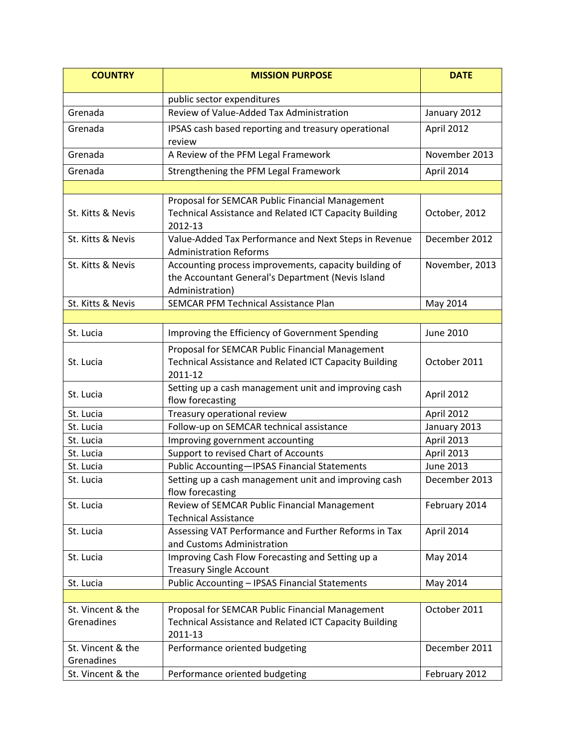| <b>COUNTRY</b>                  | <b>MISSION PURPOSE</b>                                                                                                        | <b>DATE</b>      |
|---------------------------------|-------------------------------------------------------------------------------------------------------------------------------|------------------|
|                                 | public sector expenditures                                                                                                    |                  |
| Grenada                         | Review of Value-Added Tax Administration                                                                                      | January 2012     |
| Grenada                         | IPSAS cash based reporting and treasury operational<br>review                                                                 | April 2012       |
| Grenada                         | A Review of the PFM Legal Framework                                                                                           | November 2013    |
| Grenada                         | Strengthening the PFM Legal Framework                                                                                         | April 2014       |
|                                 |                                                                                                                               |                  |
| St. Kitts & Nevis               | Proposal for SEMCAR Public Financial Management<br>Technical Assistance and Related ICT Capacity Building<br>2012-13          | October, 2012    |
| St. Kitts & Nevis               | Value-Added Tax Performance and Next Steps in Revenue<br><b>Administration Reforms</b>                                        | December 2012    |
| St. Kitts & Nevis               | Accounting process improvements, capacity building of<br>the Accountant General's Department (Nevis Island<br>Administration) | November, 2013   |
| St. Kitts & Nevis               | <b>SEMCAR PFM Technical Assistance Plan</b>                                                                                   | May 2014         |
|                                 |                                                                                                                               |                  |
| St. Lucia                       | Improving the Efficiency of Government Spending                                                                               | June 2010        |
| St. Lucia                       | Proposal for SEMCAR Public Financial Management<br>Technical Assistance and Related ICT Capacity Building<br>2011-12          | October 2011     |
| St. Lucia                       | Setting up a cash management unit and improving cash<br>flow forecasting                                                      | April 2012       |
| St. Lucia                       | Treasury operational review                                                                                                   | April 2012       |
| St. Lucia                       | Follow-up on SEMCAR technical assistance                                                                                      | January 2013     |
| St. Lucia                       | Improving government accounting                                                                                               | April 2013       |
| St. Lucia                       | Support to revised Chart of Accounts                                                                                          | April 2013       |
| St. Lucia                       | <b>Public Accounting-IPSAS Financial Statements</b>                                                                           | <b>June 2013</b> |
| St. Lucia                       | Setting up a cash management unit and improving cash<br>flow forecasting                                                      | December 2013    |
| St. Lucia                       | Review of SEMCAR Public Financial Management<br><b>Technical Assistance</b>                                                   | February 2014    |
| St. Lucia                       | Assessing VAT Performance and Further Reforms in Tax<br>and Customs Administration                                            | April 2014       |
| St. Lucia                       | Improving Cash Flow Forecasting and Setting up a<br><b>Treasury Single Account</b>                                            | May 2014         |
| St. Lucia                       | Public Accounting - IPSAS Financial Statements                                                                                | May 2014         |
|                                 |                                                                                                                               |                  |
| St. Vincent & the<br>Grenadines | Proposal for SEMCAR Public Financial Management<br>Technical Assistance and Related ICT Capacity Building<br>2011-13          | October 2011     |
| St. Vincent & the<br>Grenadines | Performance oriented budgeting                                                                                                | December 2011    |
| St. Vincent & the               | Performance oriented budgeting                                                                                                | February 2012    |